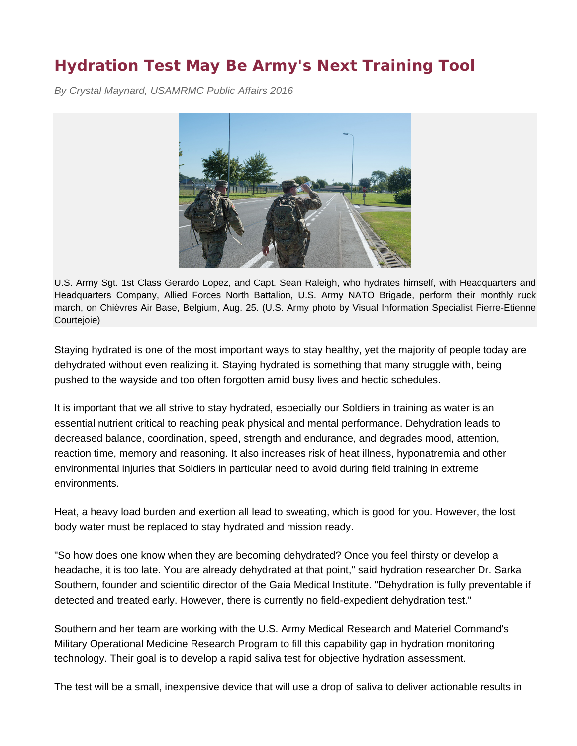## **Hydration Test May Be Army's Next Training Tool**

*By Crystal Maynard, USAMRMC Public Affairs 2016*



U.S. Army Sgt. 1st Class Gerardo Lopez, and Capt. Sean Raleigh, who hydrates himself, with Headquarters and Headquarters Company, Allied Forces North Battalion, U.S. Army NATO Brigade, perform their monthly ruck march, on Chièvres Air Base, Belgium, Aug. 25. (U.S. Army photo by Visual Information Specialist Pierre-Etienne Courtejoie)

Staying hydrated is one of the most important ways to stay healthy, yet the majority of people today are dehydrated without even realizing it. Staying hydrated is something that many struggle with, being pushed to the wayside and too often forgotten amid busy lives and hectic schedules.

It is important that we all strive to stay hydrated, especially our Soldiers in training as water is an essential nutrient critical to reaching peak physical and mental performance. Dehydration leads to decreased balance, coordination, speed, strength and endurance, and degrades mood, attention, reaction time, memory and reasoning. It also increases risk of heat illness, hyponatremia and other environmental injuries that Soldiers in particular need to avoid during field training in extreme environments.

Heat, a heavy load burden and exertion all lead to sweating, which is good for you. However, the lost body water must be replaced to stay hydrated and mission ready.

"So how does one know when they are becoming dehydrated? Once you feel thirsty or develop a headache, it is too late. You are already dehydrated at that point," said hydration researcher Dr. Sarka Southern, founder and scientific director of the Gaia Medical Institute. "Dehydration is fully preventable if detected and treated early. However, there is currently no field-expedient dehydration test."

Southern and her team are working with the U.S. Army Medical Research and Materiel Command's Military Operational Medicine Research Program to fill this capability gap in hydration monitoring technology. Their goal is to develop a rapid saliva test for objective hydration assessment.

The test will be a small, inexpensive device that will use a drop of saliva to deliver actionable results in